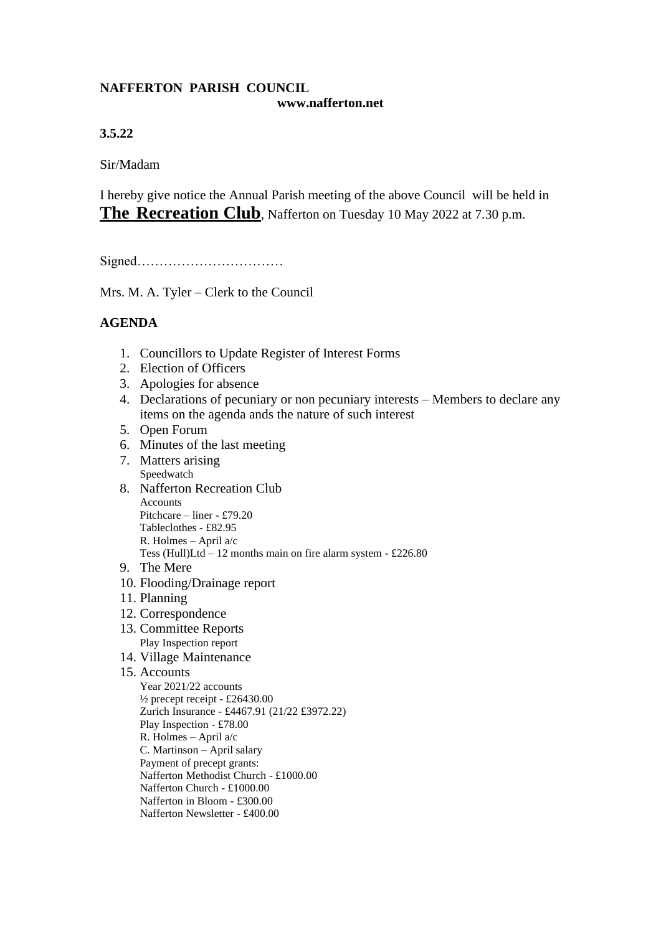## **NAFFERTON PARISH COUNCIL www.nafferton.net**

## **3.5.22**

Sir/Madam

I hereby give notice the Annual Parish meeting of the above Council will be held in **The Recreation Club**, Nafferton on Tuesday 10 May 2022 at 7.30 p.m.

Signed……………………………

Mrs. M. A. Tyler – Clerk to the Council

## **AGENDA**

- 1. Councillors to Update Register of Interest Forms
- 2. Election of Officers
- 3. Apologies for absence
- 4. Declarations of pecuniary or non pecuniary interests Members to declare any items on the agenda ands the nature of such interest
- 5. Open Forum
- 6. Minutes of the last meeting
- 7. Matters arising Speedwatch
- 8. Nafferton Recreation Club **Accounts** Pitchcare – liner - £79.20 Tableclothes - £82.95 R. Holmes – April a/c Tess (Hull)Ltd – 12 months main on fire alarm system - £226.80
- 9. The Mere
- 10. Flooding/Drainage report
- 11. Planning
- 12. Correspondence
- 13. Committee Reports Play Inspection report
- 14. Village Maintenance
- 15. Accounts
	- Year 2021/22 accounts  $\frac{1}{2}$  precept receipt - £26430.00 Zurich Insurance - £4467.91 (21/22 £3972.22) Play Inspection - £78.00 R. Holmes – April a/c C. Martinson – April salary Payment of precept grants: Nafferton Methodist Church - £1000.00 Nafferton Church - £1000.00 Nafferton in Bloom - £300.00 Nafferton Newsletter - £400.00